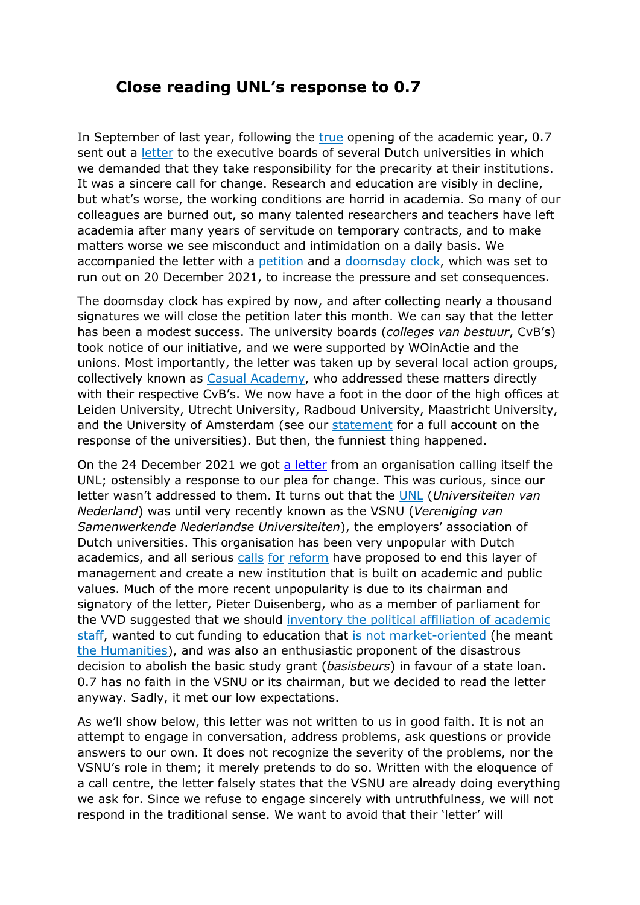## **Close reading UNL's response to 0.7**

In September of last year, following the [true](https://www.dub.uu.nl/nl/nieuws/protest-bij-opening-academisch-jaar-waar-blijft-die-11-miljard) opening of the academic year, 0.7 sent out a [letter](https://zeropointseven.nl/CVB-Letter/) to the executive boards of several Dutch universities in which we demanded that they take responsibility for the precarity at their institutions. It was a sincere call for change. Research and education are visibly in decline, but what's worse, the working conditions are horrid in academia. So many of our colleagues are burned out, so many talented researchers and teachers have left academia after many years of servitude on temporary contracts, and to make matters worse we see misconduct and intimidation on a daily basis. We accompanied the letter with a [petition](https://petities.nl/petitions/academia-does-not-love-us-back?locale=nl) and a [doomsday clock,](https://zeropointseven.nl/Countdown/) which was set to run out on 20 December 2021, to increase the pressure and set consequences.

The doomsday clock has expired by now, and after collecting nearly a thousand signatures we will close the petition later this month. We can say that the letter has been a modest success. The university boards (*colleges van bestuur*, CvB's) took notice of our initiative, and we were supported by WOinActie and the unions. Most importantly, the letter was taken up by several local action groups, collectively known as [Casual Academy,](http://casualacademy.nl/) who addressed these matters directly with their respective CvB's. We now have a foot in the door of the high offices at Leiden University, Utrecht University, Radboud University, Maastricht University, and the University of Amsterdam (see our [statement](https://www.casualleiden.com/the-university-wont-love-us-back/times-up) for a full account on the response of the universities). But then, the funniest thing happened.

On the 24 December 2021 we got [a letter](https://zeropointseven.nl/gallery/Reactie_UNL.pdf) from an organisation calling itself the UNL; ostensibly a response to our plea for change. This was curious, since our letter wasn't addressed to them. It turns out that the [UNL](https://unl.nl/) (*Universiteiten van Nederland*) was until very recently known as the VSNU (*Vereniging van Samenwerkende Nederlandse Universiteiten*), the employers' association of Dutch universities. This organisation has been very unpopular with Dutch academics, and all serious [calls](https://www.erasmusmagazine.nl/2020/08/26/wie-zwijgt-stemt-toe-pamflet-tegen-roofbouw-in-de-wetenschap/) [for](https://www.trouw.nl/wetenschap/zo-ziet-de-ideale-universiteit-er-volgens-wetenschapshistoricus-floris-cohen-uit%7Eba187b71/) [reform](https://twitter.com/hashtag/Stelling21?src=hashtag_click) have proposed to end this layer of management and create a new institution that is built on academic and public values. Much of the more recent unpopularity is due to its chairman and signatory of the letter, Pieter Duisenberg, who as a member of parliament for the VVD suggested that we should [inventory the political affiliation of academic](https://www.folia.nl/actueel/107372/vvd-wil-onderzoek-naar-politieke-kleur-universitaire-medewerkers)  [staff,](https://www.folia.nl/actueel/107372/vvd-wil-onderzoek-naar-politieke-kleur-universitaire-medewerkers) wanted to cut funding to education that is not [market-oriented](https://www.bnr.nl/nieuws/politiek/10012034/vvd-weg-met-de-pretstudie) (he meant [the Humanities\)](https://www.bnr.nl/nieuws/politiek/10324797/vvd-meer-geld-naar-technische-studies), and was also an enthusiastic proponent of the disastrous decision to abolish the basic study grant (*basisbeurs*) in favour of a state loan. 0.7 has no faith in the VSNU or its chairman, but we decided to read the letter anyway. Sadly, it met our low expectations.

As we'll show below, this letter was not written to us in good faith. It is not an attempt to engage in conversation, address problems, ask questions or provide answers to our own. It does not recognize the severity of the problems, nor the VSNU's role in them; it merely pretends to do so. Written with the eloquence of a call centre, the letter falsely states that the VSNU are already doing everything we ask for. Since we refuse to engage sincerely with untruthfulness, we will not respond in the traditional sense. We want to avoid that their 'letter' will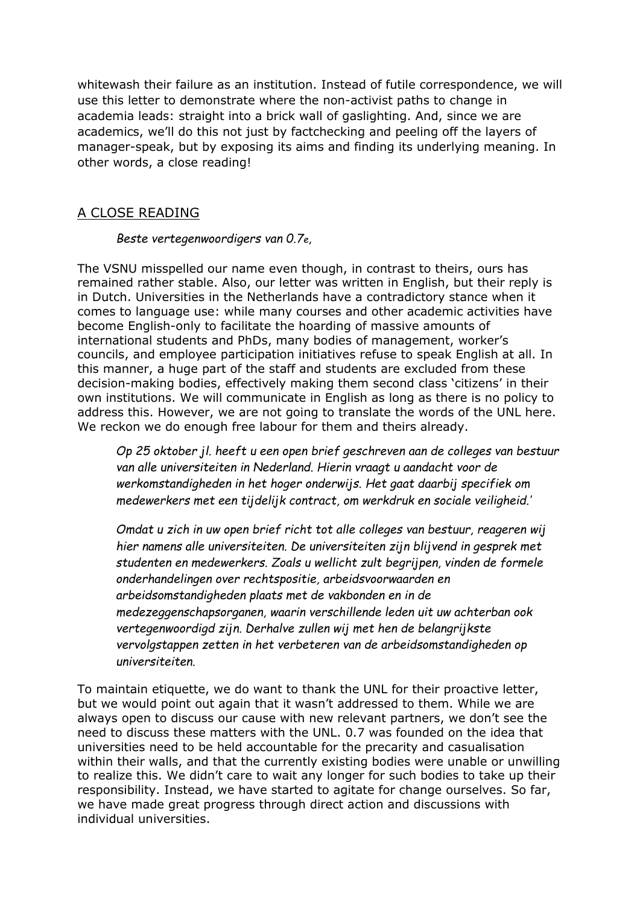whitewash their failure as an institution. Instead of futile correspondence, we will use this letter to demonstrate where the non-activist paths to change in academia leads: straight into a brick wall of gaslighting. And, since we are academics, we'll do this not just by factchecking and peeling off the layers of manager-speak, but by exposing its aims and finding its underlying meaning. In other words, a close reading!

## A CLOSE READING

## *Beste vertegenwoordigers van 0.7e,*

The VSNU misspelled our name even though, in contrast to theirs, ours has remained rather stable. Also, our letter was written in English, but their reply is in Dutch. Universities in the Netherlands have a contradictory stance when it comes to language use: while many courses and other academic activities have become English-only to facilitate the hoarding of massive amounts of international students and PhDs, many bodies of management, worker's councils, and employee participation initiatives refuse to speak English at all. In this manner, a huge part of the staff and students are excluded from these decision-making bodies, effectively making them second class 'citizens' in their own institutions. We will communicate in English as long as there is no policy to address this. However, we are not going to translate the words of the UNL here. We reckon we do enough free labour for them and theirs already.

*Op 25 oktober jl. heeft u een open brief geschreven aan de colleges van bestuur van alle universiteiten in Nederland. Hierin vraagt u aandacht voor de werkomstandigheden in het hoger onderwijs. Het gaat daarbij specifiek om medewerkers met een tijdelijk contract, om werkdruk en sociale veiligheid.'*

*Omdat u zich in uw open brief richt tot alle colleges van bestuur, reageren wij hier namens alle universiteiten. De universiteiten zijn blijvend in gesprek met studenten en medewerkers. Zoals u wellicht zult begrijpen, vinden de formele onderhandelingen over rechtspositie, arbeidsvoorwaarden en arbeidsomstandigheden plaats met de vakbonden en in de medezeggenschapsorganen, waarin verschillende leden uit uw achterban ook vertegenwoordigd zijn. Derhalve zullen wij met hen de belangrijkste vervolgstappen zetten in het verbeteren van de arbeidsomstandigheden op universiteiten.*

To maintain etiquette, we do want to thank the UNL for their proactive letter, but we would point out again that it wasn't addressed to them. While we are always open to discuss our cause with new relevant partners, we don't see the need to discuss these matters with the UNL. 0.7 was founded on the idea that universities need to be held accountable for the precarity and casualisation within their walls, and that the currently existing bodies were unable or unwilling to realize this. We didn't care to wait any longer for such bodies to take up their responsibility. Instead, we have started to agitate for change ourselves. So far, we have made great progress through direct action and discussions with individual universities.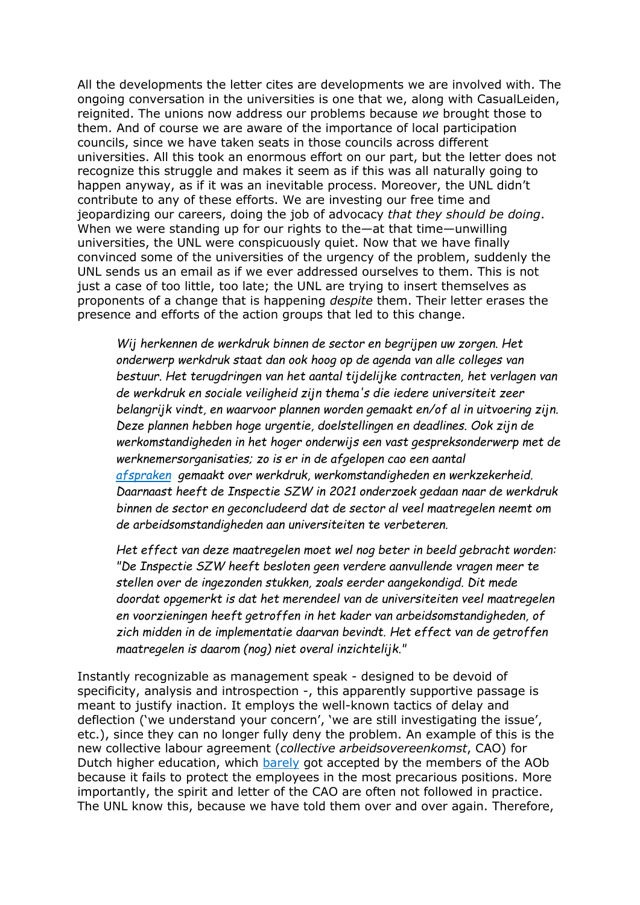All the developments the letter cites are developments we are involved with. The ongoing conversation in the universities is one that we, along with CasualLeiden, reignited. The unions now address our problems because *we* brought those to them. And of course we are aware of the importance of local participation councils, since we have taken seats in those councils across different universities. All this took an enormous effort on our part, but the letter does not recognize this struggle and makes it seem as if this was all naturally going to happen anyway, as if it was an inevitable process. Moreover, the UNL didn't contribute to any of these efforts. We are investing our free time and jeopardizing our careers, doing the job of advocacy *that they should be doing*. When we were standing up for our rights to the—at that time—unwilling universities, the UNL were conspicuously quiet. Now that we have finally convinced some of the universities of the urgency of the problem, suddenly the UNL sends us an email as if we ever addressed ourselves to them. This is not just a case of too little, too late; the UNL are trying to insert themselves as proponents of a change that is happening *despite* them. Their letter erases the presence and efforts of the action groups that led to this change.

*Wij herkennen de werkdruk binnen de sector en begrijpen uw zorgen. Het onderwerp werkdruk staat dan ook hoog op de agenda van alle colleges van bestuur. Het terugdringen van het aantal tijdelijke contracten, het verlagen van de werkdruk en sociale veiligheid zijn thema's die iedere universiteit zeer belangrijk vindt, en waarvoor plannen worden gemaakt en/of al in uitvoering zijn. Deze plannen hebben hoge urgentie, doelstellingen en deadlines. Ook zijn de werkomstandigheden in het hoger onderwijs een vast gespreksonderwerp met de werknemersorganisaties; zo is er in de afgelopen cao een aantal [afspraken](https://www.universiteitenvannederland.nl/files/documenten/CAO/Onderhandelaarsakkoord%20cao-NU%202021.pdf) gemaakt over werkdruk, werkomstandigheden en werkzekerheid. Daarnaast heeft de Inspectie SZW in 2021 onderzoek gedaan naar de werkdruk binnen de sector en geconcludeerd dat de sector al veel maatregelen neemt om de arbeidsomstandigheden aan universiteiten te verbeteren.*

*Het effect van deze maatregelen moet wel nog beter in beeld gebracht worden: "De Inspectie SZW heeft besloten geen verdere aanvullende vragen meer te stellen over de ingezonden stukken, zoals eerder aangekondigd. Dit mede doordat opgemerkt is dat het merendeel van de universiteiten veel maatregelen en voorzieningen heeft getroffen in het kader van arbeidsomstandigheden, of zich midden in de implementatie daarvan bevindt. Het effect van de getroffen maatregelen is daarom (nog) niet overal inzichtelijk."*

Instantly recognizable as management speak - designed to be devoid of specificity, analysis and introspection -, this apparently supportive passage is meant to justify inaction. It employs the well-known tactics of delay and deflection ('we understand your concern', 'we are still investigating the issue', etc.), since they can no longer fully deny the problem. An example of this is the new collective labour agreement (*collective arbeidsovereenkomst*, CAO) for Dutch higher education, which [barely](https://www.aob.nl/nieuws/nipt-cao-akkoord-universiteiten/) got accepted by the members of the AOb because it fails to protect the employees in the most precarious positions. More importantly, the spirit and letter of the CAO are often not followed in practice. The UNL know this, because we have told them over and over again. Therefore,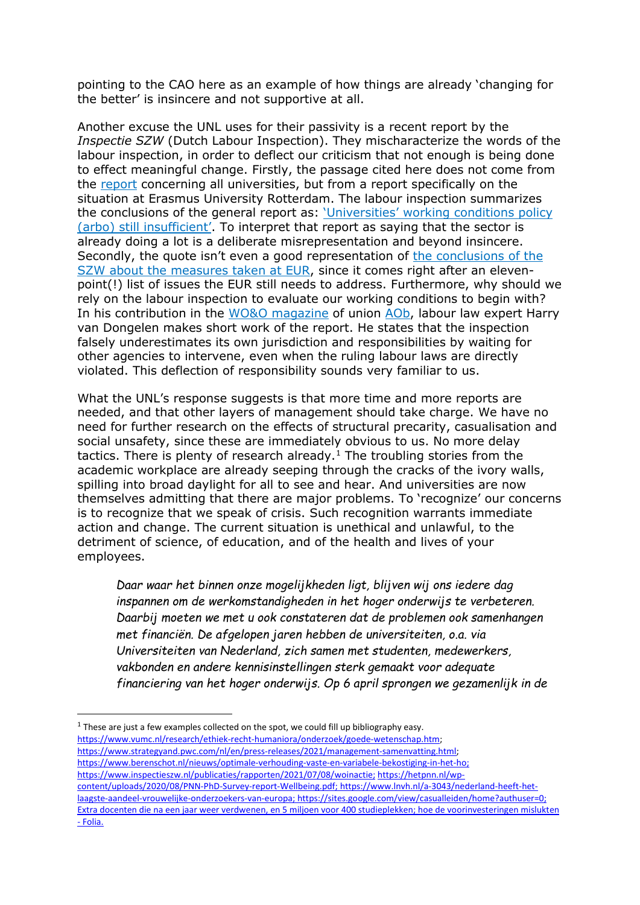pointing to the CAO here as an example of how things are already 'changing for the better' is insincere and not supportive at all.

Another excuse the UNL uses for their passivity is a recent report by the *Inspectie SZW* (Dutch Labour Inspection). They mischaracterize the words of the labour inspection, in order to deflect our criticism that not enough is being done to effect meaningful change. Firstly, the passage cited here does not come from the [report](https://www.nlarbeidsinspectie.nl/publicaties/rapporten/2021/07/08/woinactie) concerning all universities, but from a report specifically on the situation at Erasmus University Rotterdam. The labour inspection summarizes the conclusions of the general report as: 'Universities' [working conditions policy](https://www.nlarbeidsinspectie.nl/actueel/nieuws/2021/07/08/arbobeleid-universiteiten-nog-onvoldoende)  (arbo) [still insufficient'.](https://www.nlarbeidsinspectie.nl/actueel/nieuws/2021/07/08/arbobeleid-universiteiten-nog-onvoldoende) To interpret that report as saying that the sector is already doing a lot is a deliberate misrepresentation and beyond insincere. Secondly, the quote isn't even a good representation of [the conclusions of the](https://eur.my-meeting.nl/Documenten/2021-04-14-afschrift-bevindingen-inspectie-szw-1.pdf)  [SZW about the measures taken at EUR,](https://eur.my-meeting.nl/Documenten/2021-04-14-afschrift-bevindingen-inspectie-szw-1.pdf) since it comes right after an elevenpoint(!) list of issues the EUR still needs to address. Furthermore, why should we rely on the labour inspection to evaluate our working conditions to begin with? In his contribution in the [WO&O magazine](https://heyzine.com/flip-book/461a6ba934.html?web=1&wdLOR=c355D0E7D-09BE-4A59-A932-678E592366A2) of union [AOb,](https://www.aob.nl/wo/) labour law expert Harry van Dongelen makes short work of the report. He states that the inspection falsely underestimates its own jurisdiction and responsibilities by waiting for other agencies to intervene, even when the ruling labour laws are directly violated. This deflection of responsibility sounds very familiar to us.

What the UNL's response suggests is that more time and more reports are needed, and that other layers of management should take charge. We have no need for further research on the effects of structural precarity, casualisation and social unsafety, since these are immediately obvious to us. No more delay tactics. There is plenty of research already.<sup>[1](#page-3-0)</sup> The troubling stories from the academic workplace are already seeping through the cracks of the ivory walls, spilling into broad daylight for all to see and hear. And universities are now themselves admitting that there are major problems. To 'recognize' our concerns is to recognize that we speak of crisis. Such recognition warrants immediate action and change. The current situation is unethical and unlawful, to the detriment of science, of education, and of the health and lives of your employees.

*Daar waar het binnen onze mogelijkheden ligt, blijven wij ons iedere dag inspannen om de werkomstandigheden in het hoger onderwijs te verbeteren. Daarbij moeten we met u ook constateren dat de problemen ook samenhangen met financiën. De afgelopen jaren hebben de universiteiten, o.a. via Universiteiten van Nederland, zich samen met studenten, medewerkers, vakbonden en andere kennisinstellingen sterk gemaakt voor adequate financiering van het hoger onderwijs. Op 6 april sprongen we gezamenlijk in de* 

<span id="page-3-0"></span> $1$  These are just a few examples collected on the spot, we could fill up bibliography easy. [https://www.vumc.nl/research/ethiek-recht-humaniora/onderzoek/goede-wetenschap.htm;](https://www.vumc.nl/research/ethiek-recht-humaniora/onderzoek/goede-wetenschap.htm)  [https://www.strategyand.pwc.com/nl/en/press-releases/2021/management-samenvatting.html;](https://www.strategyand.pwc.com/nl/en/press-releases/2021/management-samenvatting.html) [https://www.berenschot.nl/nieuws/optimale-verhouding-vaste-en-variabele-bekostiging-in-het-ho;](https://www.berenschot.nl/nieuws/optimale-verhouding-vaste-en-variabele-bekostiging-in-het-ho) [https://www.inspectieszw.nl/publicaties/rapporten/2021/07/08/woinactie;](https://www.inspectieszw.nl/publicaties/rapporten/2021/07/08/woinactie) [https://hetpnn.nl/wp](https://hetpnn.nl/wp-content/uploads/2020/08/PNN-PhD-Survey-report-Wellbeing.pdf)[content/uploads/2020/08/PNN-PhD-Survey-report-Wellbeing.pdf;](https://hetpnn.nl/wp-content/uploads/2020/08/PNN-PhD-Survey-report-Wellbeing.pdf) [https://www.lnvh.nl/a-3043/nederland-heeft-het](https://www.lnvh.nl/a-3043/nederland-heeft-het-laagste-aandeel-vrouwelijke-onderzoekers-van-europa)[laagste-aandeel-vrouwelijke-onderzoekers-van-europa;](https://www.lnvh.nl/a-3043/nederland-heeft-het-laagste-aandeel-vrouwelijke-onderzoekers-van-europa) [https://sites.google.com/view/casualleiden/home?authuser=0;](https://sites.google.com/view/casualleiden/home?authuser=0) [Extra docenten die na een jaar weer verdwenen, en 5 miljoen voor 400 studieplekken; hoe de voorinvesteringen mislukten](https://www.folia.nl/actueel/143379/extra-docenten-die-na-een-jaar-weer-verdwenen-en-5-miljoen-voor-400-studieplekken-hoe-de-voorinvesteringen-mislukten)  - [Folia.](https://www.folia.nl/actueel/143379/extra-docenten-die-na-een-jaar-weer-verdwenen-en-5-miljoen-voor-400-studieplekken-hoe-de-voorinvesteringen-mislukten)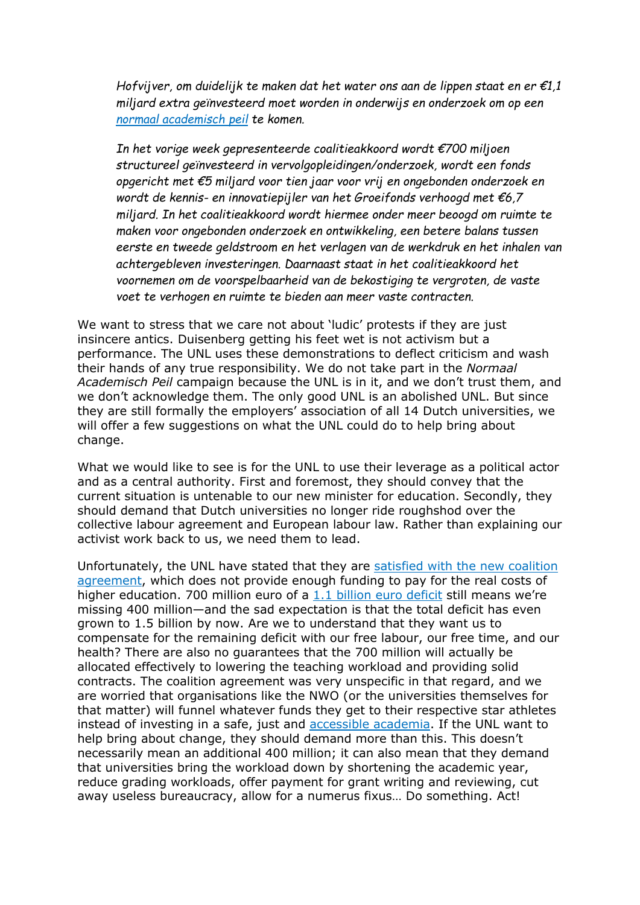*Hofvijver, om duidelijk te maken dat het water ons aan de lippen staat en er €1,1 miljard extra geïnvesteerd moet worden in onderwijs en onderzoek om op een [normaal academisch peil](https://normaalacademischpeil.nl/) te komen.*

*In het vorige week gepresenteerde coalitieakkoord wordt €700 miljoen structureel geïnvesteerd in vervolgopleidingen/onderzoek, wordt een fonds opgericht met €5 miljard voor tien jaar voor vrij en ongebonden onderzoek en wordt de kennis- en innovatiepijler van het Groeifonds verhoogd met €6,7 miljard. In het coalitieakkoord wordt hiermee onder meer beoogd om ruimte te maken voor ongebonden onderzoek en ontwikkeling, een betere balans tussen eerste en tweede geldstroom en het verlagen van de werkdruk en het inhalen van achtergebleven investeringen. Daarnaast staat in het coalitieakkoord het voornemen om de voorspelbaarheid van de bekostiging te vergroten, de vaste voet te verhogen en ruimte te bieden aan meer vaste contracten.*

We want to stress that we care not about 'ludic' protests if they are just insincere antics. Duisenberg getting his feet wet is not activism but a performance. The UNL uses these demonstrations to deflect criticism and wash their hands of any true responsibility. We do not take part in the *Normaal Academisch Peil* campaign because the UNL is in it, and we don't trust them, and we don't acknowledge them. The only good UNL is an abolished UNL. But since they are still formally the employers' association of all 14 Dutch universities, we will offer a few suggestions on what the UNL could do to help bring about change.

What we would like to see is for the UNL to use their leverage as a political actor and as a central authority. First and foremost, they should convey that the current situation is untenable to our new minister for education. Secondly, they should demand that Dutch universities no longer ride roughshod over the collective labour agreement and European labour law. Rather than explaining our activist work back to us, we need them to lead.

Unfortunately, the UNL have stated that they are [satisfied with the new](https://www.universiteitenvannederland.nl/nl_NL/nieuwsbericht/nieuwsbericht/814-p-universiteiten-en-universitair-medische-centra-positief-over-coalitieakkoord-p.html) coalition [agreement,](https://www.universiteitenvannederland.nl/nl_NL/nieuwsbericht/nieuwsbericht/814-p-universiteiten-en-universitair-medische-centra-positief-over-coalitieakkoord-p.html) which does not provide enough funding to pay for the real costs of higher education. 700 million euro of a [1.1 billion](https://www.scienceguide.nl/2021/10/kabinet-voeg-11-miljard-toe-aan-de-eerste-geldstroom-van-universiteiten/) euro deficit still means we're missing 400 million—and the sad expectation is that the total deficit has even grown to 1.5 billion by now. Are we to understand that they want us to compensate for the remaining deficit with our free labour, our free time, and our health? There are also no guarantees that the 700 million will actually be allocated effectively to lowering the teaching workload and providing solid contracts. The coalition agreement was very unspecific in that regard, and we are worried that organisations like the NWO (or the universities themselves for that matter) will funnel whatever funds they get to their respective star athletes instead of investing in a safe, just and [accessible](https://www.accessible-academia.nl/) academia. If the UNL want to help bring about change, they should demand more than this. This doesn't necessarily mean an additional 400 million; it can also mean that they demand that universities bring the workload down by shortening the academic year, reduce grading workloads, offer payment for grant writing and reviewing, cut away useless bureaucracy, allow for a numerus fixus… Do something. Act!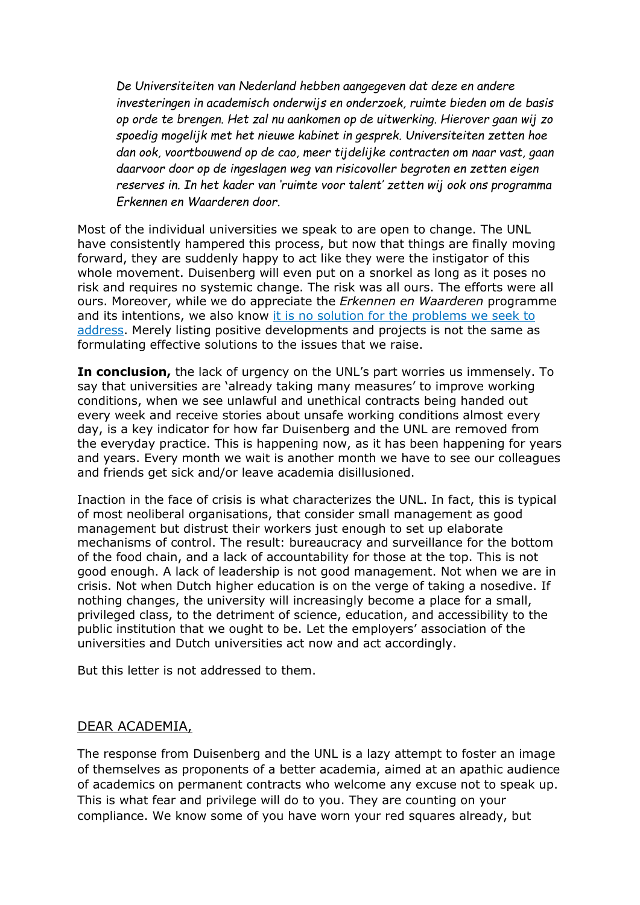*De Universiteiten van Nederland hebben aangegeven dat deze en andere investeringen in academisch onderwijs en onderzoek, ruimte bieden om de basis op orde te brengen. Het zal nu aankomen op de uitwerking. Hierover gaan wij zo spoedig mogelijk met het nieuwe kabinet in gesprek. Universiteiten zetten hoe dan ook, voortbouwend op de cao, meer tijdelijke contracten om naar vast, gaan daarvoor door op de ingeslagen weg van risicovoller begroten en zetten eigen reserves in. In het kader van 'ruimte voor talent' zetten wij ook ons programma Erkennen en Waarderen door.*

Most of the individual universities we speak to are open to change. The UNL have consistently hampered this process, but now that things are finally moving forward, they are suddenly happy to act like they were the instigator of this whole movement. Duisenberg will even put on a snorkel as long as it poses no risk and requires no systemic change. The risk was all ours. The efforts were all ours. Moreover, while we do appreciate the *Erkennen en Waarderen* programme and its intentions, we also know [it is no solution for the problems we seek to](https://www.scienceguide.nl/2021/12/erkennen-en-waarderen-alleen-mogelijk-als-de-academie-drastisch-wordt-gemoderniseerd/)  [address.](https://www.scienceguide.nl/2021/12/erkennen-en-waarderen-alleen-mogelijk-als-de-academie-drastisch-wordt-gemoderniseerd/) Merely listing positive developments and projects is not the same as formulating effective solutions to the issues that we raise.

**In conclusion,** the lack of urgency on the UNL's part worries us immensely. To say that universities are 'already taking many measures' to improve working conditions, when we see unlawful and unethical contracts being handed out every week and receive stories about unsafe working conditions almost every day, is a key indicator for how far Duisenberg and the UNL are removed from the everyday practice. This is happening now, as it has been happening for years and years. Every month we wait is another month we have to see our colleagues and friends get sick and/or leave academia disillusioned.

Inaction in the face of crisis is what characterizes the UNL. In fact, this is typical of most neoliberal organisations, that consider small management as good management but distrust their workers just enough to set up elaborate mechanisms of control. The result: bureaucracy and surveillance for the bottom of the food chain, and a lack of accountability for those at the top. This is not good enough. A lack of leadership is not good management. Not when we are in crisis. Not when Dutch higher education is on the verge of taking a nosedive. If nothing changes, the university will increasingly become a place for a small, privileged class, to the detriment of science, education, and accessibility to the public institution that we ought to be. Let the employers' association of the universities and Dutch universities act now and act accordingly.

But this letter is not addressed to them.

## DEAR ACADEMIA,

The response from Duisenberg and the UNL is a lazy attempt to foster an image of themselves as proponents of a better academia, aimed at an apathic audience of academics on permanent contracts who welcome any excuse not to speak up. This is what fear and privilege will do to you. They are counting on your compliance. We know some of you have worn your red squares already, but